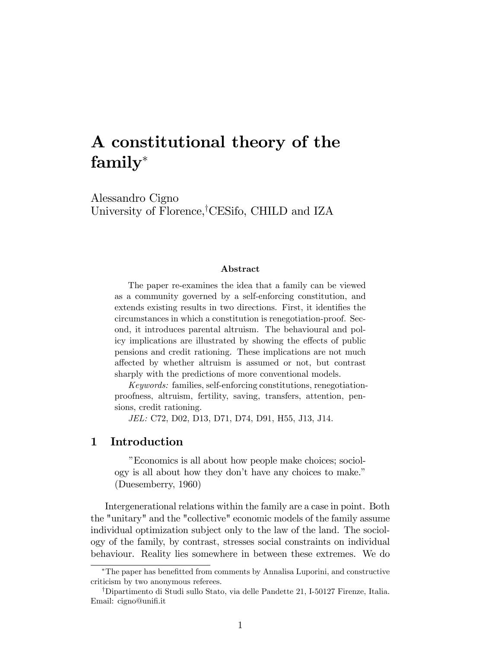# A constitutional theory of the family

Alessandro Cigno University of Florence,<sup>†</sup>CESifo, CHILD and IZA

#### Abstract

The paper re-examines the idea that a family can be viewed as a community governed by a self-enforcing constitution, and extends existing results in two directions. First, it identifies the circumstances in which a constitution is renegotiation-proof. Second, it introduces parental altruism. The behavioural and policy implications are illustrated by showing the effects of public pensions and credit rationing. These implications are not much affected by whether altruism is assumed or not, but contrast sharply with the predictions of more conventional models.

Keywords: families, self-enforcing constitutions, renegotiationproofness, altruism, fertility, saving, transfers, attention, pensions, credit rationing.

JEL: C72, D02, D13, D71, D74, D91, H55, J13, J14.

#### 1 Introduction

îEconomics is all about how people make choices; sociology is all about how they don't have any choices to make." (Duesemberry, 1960)

Intergenerational relations within the family are a case in point. Both the "unitary" and the "collective" economic models of the family assume individual optimization subject only to the law of the land. The sociology of the family, by contrast, stresses social constraints on individual behaviour. Reality lies somewhere in between these extremes. We do

The paper has beneÖtted from comments by Annalisa Luporini, and constructive criticism by two anonymous referees.

<sup>&</sup>lt;sup>†</sup>Dipartimento di Studi sullo Stato, via delle Pandette 21, I-50127 Firenze, Italia. Email: cigno@unifi.it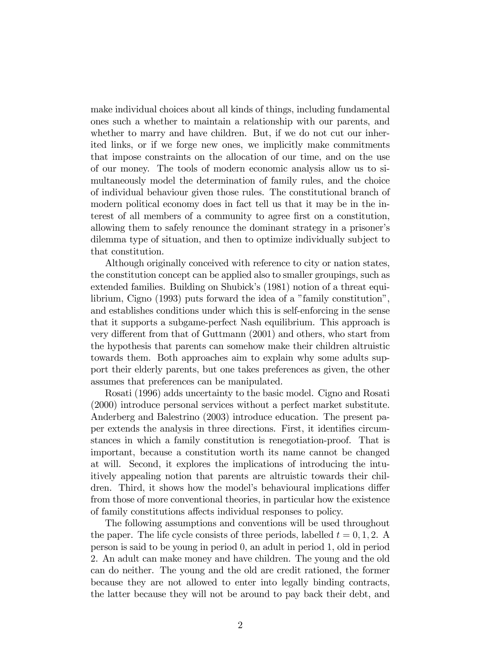make individual choices about all kinds of things, including fundamental ones such a whether to maintain a relationship with our parents, and whether to marry and have children. But, if we do not cut our inherited links, or if we forge new ones, we implicitly make commitments that impose constraints on the allocation of our time, and on the use of our money. The tools of modern economic analysis allow us to simultaneously model the determination of family rules, and the choice of individual behaviour given those rules. The constitutional branch of modern political economy does in fact tell us that it may be in the interest of all members of a community to agree Örst on a constitution, allowing them to safely renounce the dominant strategy in a prisoner's dilemma type of situation, and then to optimize individually subject to that constitution.

Although originally conceived with reference to city or nation states, the constitution concept can be applied also to smaller groupings, such as extended families. Building on Shubick's (1981) notion of a threat equilibrium, Cigno  $(1993)$  puts forward the idea of a "family constitution", and establishes conditions under which this is self-enforcing in the sense that it supports a subgame-perfect Nash equilibrium. This approach is very different from that of Guttmann (2001) and others, who start from the hypothesis that parents can somehow make their children altruistic towards them. Both approaches aim to explain why some adults support their elderly parents, but one takes preferences as given, the other assumes that preferences can be manipulated.

Rosati (1996) adds uncertainty to the basic model. Cigno and Rosati (2000) introduce personal services without a perfect market substitute. Anderberg and Balestrino (2003) introduce education. The present paper extends the analysis in three directions. First, it identifies circumstances in which a family constitution is renegotiation-proof. That is important, because a constitution worth its name cannot be changed at will. Second, it explores the implications of introducing the intuitively appealing notion that parents are altruistic towards their children. Third, it shows how the model's behavioural implications differ from those of more conventional theories, in particular how the existence of family constitutions affects individual responses to policy.

The following assumptions and conventions will be used throughout the paper. The life cycle consists of three periods, labelled  $t = 0, 1, 2$ . A person is said to be young in period 0, an adult in period 1, old in period 2. An adult can make money and have children. The young and the old can do neither. The young and the old are credit rationed, the former because they are not allowed to enter into legally binding contracts, the latter because they will not be around to pay back their debt, and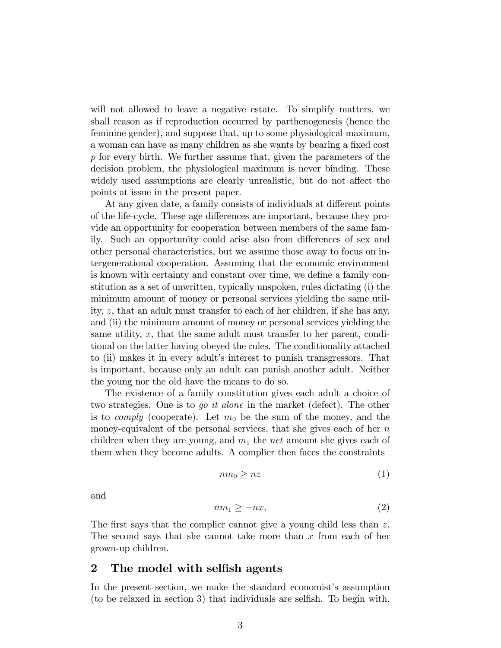will not allowed to leave a negative estate. To simplify matters, we shall reason as if reproduction occurred by parthenogenesis (hence the feminine gender), and suppose that, up to some physiological maximum, a woman can have as many children as she wants by bearing a fixed cost  $p$  for every birth. We further assume that, given the parameters of the decision problem, the physiological maximum is never binding. These widely used assumptions are clearly unrealistic, but do not affect the points at issue in the present paper.

At any given date, a family consists of individuals at different points of the life-cycle. These age differences are important, because they provide an opportunity for cooperation between members of the same family. Such an opportunity could arise also from differences of sex and other personal characteristics, but we assume those away to focus on intergenerational cooperation. Assuming that the economic environment is known with certainty and constant over time, we define a family constitution as a set of unwritten, typically unspoken, rules dictating (i) the minimum amount of money or personal services yielding the same utility, z, that an adult must transfer to each of her children, if she has any, and (ii) the minimum amount of money or personal services yielding the same utility,  $x$ , that the same adult must transfer to her parent, conditional on the latter having obeyed the rules. The conditionality attached to (ii) makes it in every adult's interest to punish transgressors. That is important, because only an adult can punish another adult. Neither the young nor the old have the means to do so.

The existence of a family constitution gives each adult a choice of two strategies. One is to go it alone in the market (defect). The other is to *comply* (cooperate). Let  $m_0$  be the sum of the money, and the money-equivalent of the personal services, that she gives each of her  $n$ children when they are young, and  $m_1$  the net amount she gives each of them when they become adults. A complier then faces the constraints

$$
nm_0 \geq nz \tag{1}
$$

and

$$
nm_1 \ge -nx,\tag{2}
$$

The first says that the complier cannot give a young child less than  $z$ . The second says that she cannot take more than  $x$  from each of her grown-up children.

## 2 The model with selfish agents

In the present section, we make the standard economist's assumption (to be relaxed in section 3) that individuals are selfish. To begin with,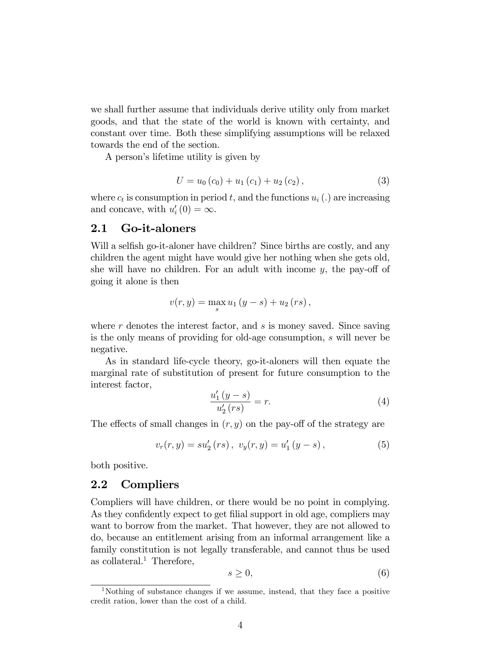we shall further assume that individuals derive utility only from market goods, and that the state of the world is known with certainty, and constant over time. Both these simplifying assumptions will be relaxed towards the end of the section.

A person's lifetime utility is given by

$$
U = u_0(c_0) + u_1(c_1) + u_2(c_2), \qquad (3)
$$

where  $c_t$  is consumption in period t, and the functions  $u_i(.)$  are increasing and concave, with  $u'_{i}(0) = \infty$ .

#### 2.1 Go-it-aloners

Will a selfish go-it-aloner have children? Since births are costly, and any children the agent might have would give her nothing when she gets old, she will have no children. For an adult with income  $y$ , the pay-off of going it alone is then

$$
v(r, y) = \max_{s} u_1 (y - s) + u_2 (rs),
$$

where  $r$  denotes the interest factor, and  $s$  is money saved. Since saving is the only means of providing for old-age consumption, s will never be negative.

As in standard life-cycle theory, go-it-aloners will then equate the marginal rate of substitution of present for future consumption to the interest factor,

$$
\frac{u_1'(y-s)}{u_2'(rs)} = r.
$$
 (4)

The effects of small changes in  $(r, y)$  on the pay-off of the strategy are

$$
v_r(r, y) = su'_2(rs), \ v_y(r, y) = u'_1(y - s), \tag{5}
$$

both positive.

#### 2.2 Compliers

Compliers will have children, or there would be no point in complying. As they confidently expect to get filial support in old age, compliers may want to borrow from the market. That however, they are not allowed to do, because an entitlement arising from an informal arrangement like a family constitution is not legally transferable, and cannot thus be used as collateral.<sup>1</sup> Therefore,

$$
s \geq 0,\tag{6}
$$

<sup>&</sup>lt;sup>1</sup>Nothing of substance changes if we assume, instead, that they face a positive credit ration, lower than the cost of a child.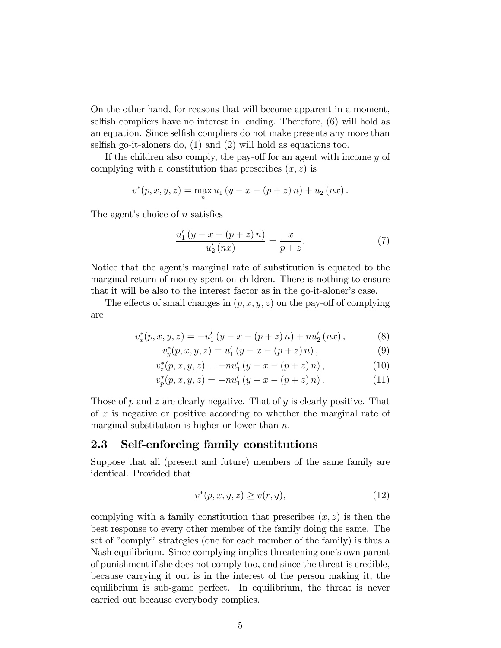On the other hand, for reasons that will become apparent in a moment, selfish compliers have no interest in lending. Therefore,  $(6)$  will hold as an equation. Since selfish compliers do not make presents any more than selfish go-it-aloners do,  $(1)$  and  $(2)$  will hold as equations too.

If the children also comply, the pay-off for an agent with income  $y$  of complying with a constitution that prescribes  $(x, z)$  is

$$
v^{*}(p, x, y, z) = \max_{n} u_{1}(y - x - (p + z) n) + u_{2}(nx).
$$

The agent's choice of  $n$  satisfies

$$
\frac{u_1'(y - x - (p + z) n)}{u_2'(nx)} = \frac{x}{p + z}.
$$
 (7)

Notice that the agent's marginal rate of substitution is equated to the marginal return of money spent on children. There is nothing to ensure that it will be also to the interest factor as in the go-it-alonerís case.

The effects of small changes in  $(p, x, y, z)$  on the pay-off of complying are

$$
v_x^*(p, x, y, z) = -u'_1 (y - x - (p + z) n) + n u'_2 (nx), \qquad (8)
$$

$$
v_y^*(p, x, y, z) = u'_1 (y - x - (p + z) n), \qquad (9)
$$

$$
v_z^*(p, x, y, z) = -nu'_1 (y - x - (p + z) n), \qquad (10)
$$

$$
v_p^*(p, x, y, z) = -nu'_1 (y - x - (p + z) n).
$$
 (11)

Those of  $p$  and  $z$  are clearly negative. That of  $y$  is clearly positive. That of  $x$  is negative or positive according to whether the marginal rate of marginal substitution is higher or lower than  $n$ .

## 2.3 Self-enforcing family constitutions

Suppose that all (present and future) members of the same family are identical. Provided that

$$
v^*(p, x, y, z) \ge v(r, y), \tag{12}
$$

complying with a family constitution that prescribes  $(x, z)$  is then the best response to every other member of the family doing the same. The set of "comply" strategies (one for each member of the family) is thus a Nash equilibrium. Since complying implies threatening one's own parent of punishment if she does not comply too, and since the threat is credible, because carrying it out is in the interest of the person making it, the equilibrium is sub-game perfect. In equilibrium, the threat is never carried out because everybody complies.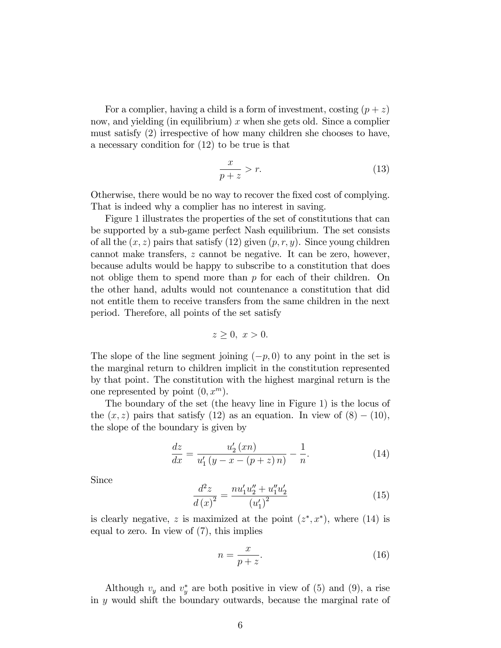For a complier, having a child is a form of investment, costing  $(p + z)$ now, and yielding (in equilibrium)  $x$  when she gets old. Since a complier must satisfy (2) irrespective of how many children she chooses to have, a necessary condition for (12) to be true is that

$$
\frac{x}{p+z} > r.
$$
\n(13)

Otherwise, there would be no way to recover the fixed cost of complying. That is indeed why a complier has no interest in saving.

Figure 1 illustrates the properties of the set of constitutions that can be supported by a sub-game perfect Nash equilibrium. The set consists of all the  $(x, z)$  pairs that satisfy (12) given  $(p, r, y)$ . Since young children cannot make transfers, z cannot be negative. It can be zero, however, because adults would be happy to subscribe to a constitution that does not oblige them to spend more than  $p$  for each of their children. On the other hand, adults would not countenance a constitution that did not entitle them to receive transfers from the same children in the next period. Therefore, all points of the set satisfy

$$
z \ge 0, \ x > 0.
$$

The slope of the line segment joining  $(-p, 0)$  to any point in the set is the marginal return to children implicit in the constitution represented by that point. The constitution with the highest marginal return is the one represented by point  $(0, x^m)$ .

The boundary of the set (the heavy line in Figure 1) is the locus of the  $(x, z)$  pairs that satisfy (12) as an equation. In view of  $(8) - (10)$ , the slope of the boundary is given by

$$
\frac{dz}{dx} = \frac{u_2'(xn)}{u_1'(y-x-(p+z)n)} - \frac{1}{n}.\tag{14}
$$

Since

$$
\frac{d^2z}{d\left(x\right)^2} = \frac{nu_1' u_2'' + u_1'' u_2'}{\left(u_1'\right)^2} \tag{15}
$$

is clearly negative, z is maximized at the point  $(z^*, x^*)$ , where (14) is equal to zero. In view of (7), this implies

$$
n = \frac{x}{p+z}.\tag{16}
$$

Although  $v_y$  and  $v_y^*$  are both positive in view of (5) and (9), a rise in  $y$  would shift the boundary outwards, because the marginal rate of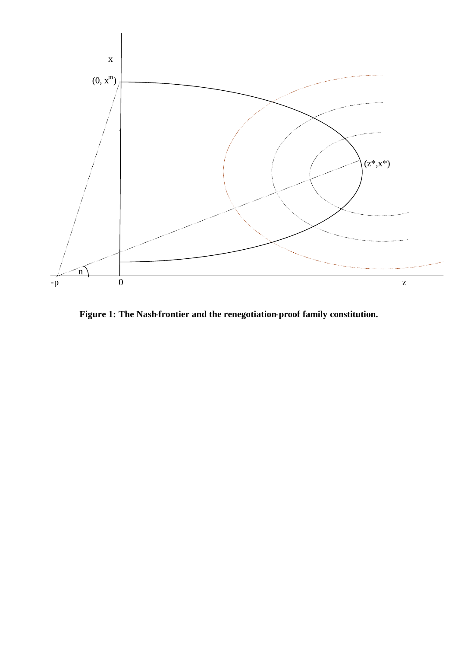

**Figure 1: The Nash-frontier and the renegotiation-proof family constitution.**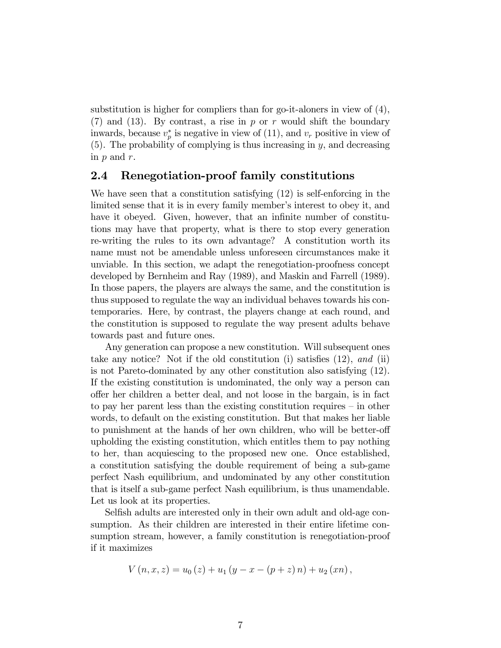substitution is higher for compliers than for go-it-aloners in view of (4),  $(7)$  and  $(13)$ . By contrast, a rise in p or r would shift the boundary inwards, because  $v_p^*$  is negative in view of (11), and  $v_r$  positive in view of  $(5)$ . The probability of complying is thus increasing in y, and decreasing in  $p$  and  $r$ .

#### 2.4 Renegotiation-proof family constitutions

We have seen that a constitution satisfying (12) is self-enforcing in the limited sense that it is in every family member's interest to obey it, and have it obeyed. Given, however, that an infinite number of constitutions may have that property, what is there to stop every generation re-writing the rules to its own advantage? A constitution worth its name must not be amendable unless unforeseen circumstances make it unviable. In this section, we adapt the renegotiation-proofness concept developed by Bernheim and Ray (1989), and Maskin and Farrell (1989). In those papers, the players are always the same, and the constitution is thus supposed to regulate the way an individual behaves towards his contemporaries. Here, by contrast, the players change at each round, and the constitution is supposed to regulate the way present adults behave towards past and future ones.

Any generation can propose a new constitution. Will subsequent ones take any notice? Not if the old constitution (i) satisfies  $(12)$ , and  $(ii)$ is not Pareto-dominated by any other constitution also satisfying (12). If the existing constitution is undominated, the only way a person can o§er her children a better deal, and not loose in the bargain, is in fact to pay her parent less than the existing constitution requires  $-\text{in other}$ words, to default on the existing constitution. But that makes her liable to punishment at the hands of her own children, who will be better-off upholding the existing constitution, which entitles them to pay nothing to her, than acquiescing to the proposed new one. Once established, a constitution satisfying the double requirement of being a sub-game perfect Nash equilibrium, and undominated by any other constitution that is itself a sub-game perfect Nash equilibrium, is thus unamendable. Let us look at its properties.

Selfish adults are interested only in their own adult and old-age consumption. As their children are interested in their entire lifetime consumption stream, however, a family constitution is renegotiation-proof if it maximizes

$$
V(n, x, z) = u_0(z) + u_1 (y - x - (p + z) n) + u_2 (xn),
$$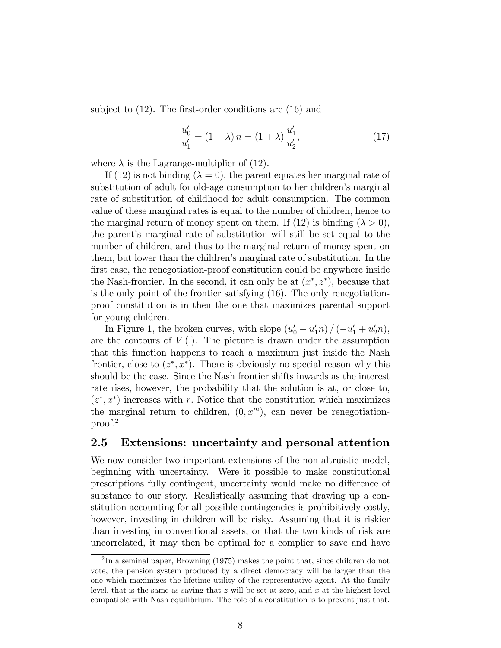subject to  $(12)$ . The first-order conditions are  $(16)$  and

$$
\frac{u'_0}{u'_1} = (1 + \lambda) n = (1 + \lambda) \frac{u'_1}{u'_2},
$$
\n(17)

where  $\lambda$  is the Lagrange-multiplier of (12).

If (12) is not binding ( $\lambda = 0$ ), the parent equates her marginal rate of substitution of adult for old-age consumption to her children's marginal rate of substitution of childhood for adult consumption. The common value of these marginal rates is equal to the number of children, hence to the marginal return of money spent on them. If (12) is binding  $(\lambda > 0)$ , the parent's marginal rate of substitution will still be set equal to the number of children, and thus to the marginal return of money spent on them, but lower than the childrenís marginal rate of substitution. In the first case, the renegotiation-proof constitution could be anywhere inside the Nash-frontier. In the second, it can only be at  $(x^*, z^*)$ , because that is the only point of the frontier satisfying (16). The only renegotiationproof constitution is in then the one that maximizes parental support for young children.

In Figure 1, the broken curves, with slope  $(u'_0 - u'_1 n) / (-u'_1 + u'_2 n)$ , are the contours of  $V(.)$ . The picture is drawn under the assumption that this function happens to reach a maximum just inside the Nash frontier, close to  $(z^*, x^*)$ . There is obviously no special reason why this should be the case. Since the Nash frontier shifts inwards as the interest rate rises, however, the probability that the solution is at, or close to,  $(z^*, x^*)$  increases with r. Notice that the constitution which maximizes the marginal return to children,  $(0, x^m)$ , can never be renegotiationproof.<sup>2</sup>

#### 2.5 Extensions: uncertainty and personal attention

We now consider two important extensions of the non-altruistic model, beginning with uncertainty. Were it possible to make constitutional prescriptions fully contingent, uncertainty would make no difference of substance to our story. Realistically assuming that drawing up a constitution accounting for all possible contingencies is prohibitively costly, however, investing in children will be risky. Assuming that it is riskier than investing in conventional assets, or that the two kinds of risk are uncorrelated, it may then be optimal for a complier to save and have

 $^{2}$ In a seminal paper, Browning (1975) makes the point that, since children do not vote, the pension system produced by a direct democracy will be larger than the one which maximizes the lifetime utility of the representative agent. At the family level, that is the same as saying that  $z$  will be set at zero, and  $x$  at the highest level compatible with Nash equilibrium. The role of a constitution is to prevent just that.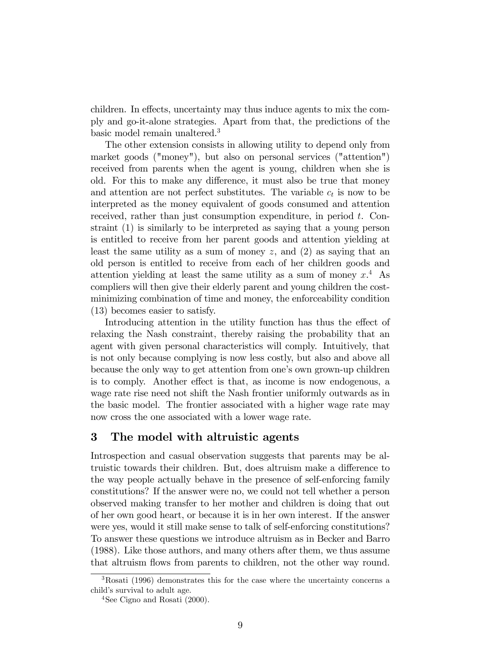children. In effects, uncertainty may thus induce agents to mix the comply and go-it-alone strategies. Apart from that, the predictions of the basic model remain unaltered.<sup>3</sup>

The other extension consists in allowing utility to depend only from market goods ("money"), but also on personal services ("attention") received from parents when the agent is young, children when she is old. For this to make any difference, it must also be true that money and attention are not perfect substitutes. The variable  $c_t$  is now to be interpreted as the money equivalent of goods consumed and attention received, rather than just consumption expenditure, in period t. Constraint (1) is similarly to be interpreted as saying that a young person is entitled to receive from her parent goods and attention yielding at least the same utility as a sum of money  $z$ , and  $(2)$  as saying that an old person is entitled to receive from each of her children goods and attention yielding at least the same utility as a sum of money  $x^4$ . As compliers will then give their elderly parent and young children the costminimizing combination of time and money, the enforceability condition (13) becomes easier to satisfy.

Introducing attention in the utility function has thus the effect of relaxing the Nash constraint, thereby raising the probability that an agent with given personal characteristics will comply. Intuitively, that is not only because complying is now less costly, but also and above all because the only way to get attention from one's own grown-up children is to comply. Another effect is that, as income is now endogenous, a wage rate rise need not shift the Nash frontier uniformly outwards as in the basic model. The frontier associated with a higher wage rate may now cross the one associated with a lower wage rate.

## 3 The model with altruistic agents

Introspection and casual observation suggests that parents may be altruistic towards their children. But, does altruism make a difference to the way people actually behave in the presence of self-enforcing family constitutions? If the answer were no, we could not tell whether a person observed making transfer to her mother and children is doing that out of her own good heart, or because it is in her own interest. If the answer were yes, would it still make sense to talk of self-enforcing constitutions? To answer these questions we introduce altruism as in Becker and Barro (1988). Like those authors, and many others after them, we thus assume that altruism flows from parents to children, not the other way round.

<sup>3</sup>Rosati (1996) demonstrates this for the case where the uncertainty concerns a child's survival to adult age.

<sup>&</sup>lt;sup>4</sup>See Cigno and Rosati  $(2000)$ .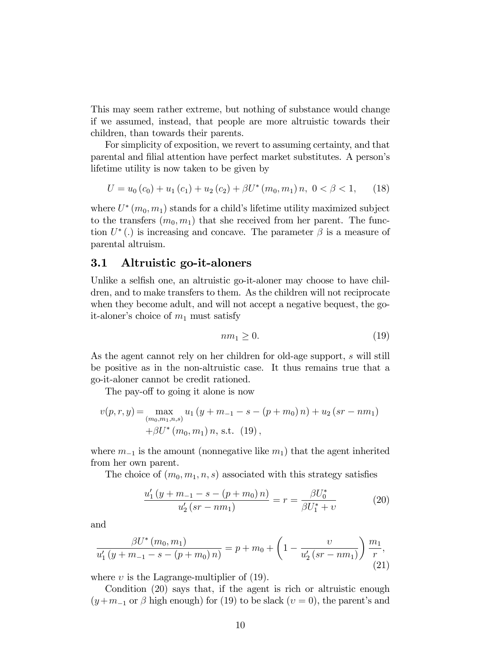This may seem rather extreme, but nothing of substance would change if we assumed, instead, that people are more altruistic towards their children, than towards their parents.

For simplicity of exposition, we revert to assuming certainty, and that parental and filial attention have perfect market substitutes. A person's lifetime utility is now taken to be given by

$$
U = u_0 (c_0) + u_1 (c_1) + u_2 (c_2) + \beta U^* (m_0, m_1) n, \ 0 < \beta < 1,
$$
 (18)

where  $U^*(m_0, m_1)$  stands for a child's lifetime utility maximized subject to the transfers  $(m_0, m_1)$  that she received from her parent. The function  $U^*$  (.) is increasing and concave. The parameter  $\beta$  is a measure of parental altruism.

#### 3.1 Altruistic go-it-aloners

Unlike a selfish one, an altruistic go-it-aloner may choose to have children, and to make transfers to them. As the children will not reciprocate when they become adult, and will not accept a negative bequest, the goit-aloner's choice of  $m_1$  must satisfy

$$
nm_1 \ge 0. \tag{19}
$$

As the agent cannot rely on her children for old-age support, s will still be positive as in the non-altruistic case. It thus remains true that a go-it-aloner cannot be credit rationed.

The pay-off to going it alone is now

$$
v(p,r,y) = \max_{(m_0, m_1, n, s)} u_1 (y + m_{-1} - s - (p + m_0) n) + u_2 (sr - nm_1)
$$
  
+ $\beta U^*(m_0, m_1) n$ , s.t. (19),

where  $m_{-1}$  is the amount (nonnegative like  $m_1$ ) that the agent inherited from her own parent.

The choice of  $(m_0, m_1, n, s)$  associated with this strategy satisfies

$$
\frac{u'_1(y + m_{-1} - s - (p + m_0) n)}{u'_2(sr - nm_1)} = r = \frac{\beta U_0^*}{\beta U_1^* + v}
$$
(20)

and

$$
\frac{\beta U^* (m_0, m_1)}{u'_1 (y + m_{-1} - s - (p + m_0) n)} = p + m_0 + \left(1 - \frac{v}{u'_2 (sr - nm_1)}\right) \frac{m_1}{r},\tag{21}
$$

where  $v$  is the Lagrange-multiplier of (19).

Condition (20) says that, if the agent is rich or altruistic enough  $(y+m_{-1}$  or  $\beta$  high enough) for (19) to be slack  $(v=0)$ , the parent's and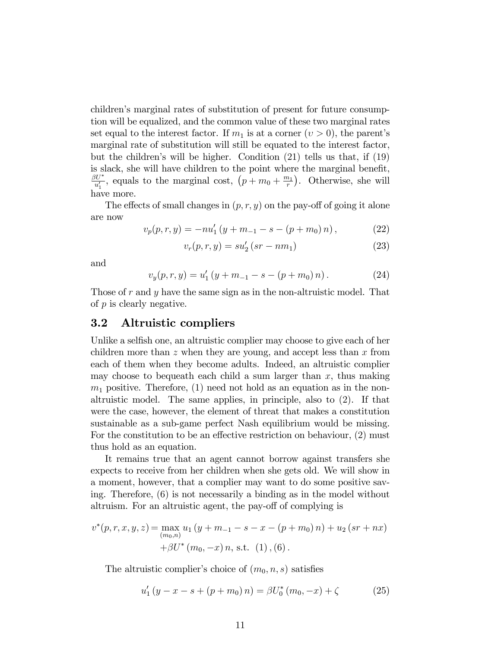childrenís marginal rates of substitution of present for future consumption will be equalized, and the common value of these two marginal rates set equal to the interest factor. If  $m_1$  is at a corner  $(v > 0)$ , the parent's marginal rate of substitution will still be equated to the interest factor, but the childrenís will be higher. Condition (21) tells us that, if (19) is slack, she will have children to the point where the marginal benefit,  $\beta U^*$  $\frac{dU^*}{u'_1}$ , equals to the marginal cost,  $\left(p+m_0+\frac{m_1}{r}\right)$  $\binom{n_1}{r}$ . Otherwise, she will have more.

The effects of small changes in  $(p, r, y)$  on the pay-off of going it alone are now

$$
v_p(p,r,y) = -nu'_1 (y + m_{-1} - s - (p + m_0) n), \qquad (22)
$$

$$
v_r(p, r, y) = su'_2 (sr - nm_1)
$$
 (23)

and

$$
v_y(p,r,y) = u'_1(y+m_{-1} - s - (p+m_0) n). \tag{24}
$$

Those of r and y have the same sign as in the non-altruistic model. That of p is clearly negative.

#### 3.2 Altruistic compliers

Unlike a selfish one, an altruistic complier may choose to give each of her children more than  $z$  when they are young, and accept less than  $x$  from each of them when they become adults. Indeed, an altruistic complier may choose to bequeath each child a sum larger than  $x$ , thus making  $m_1$  positive. Therefore, (1) need not hold as an equation as in the nonaltruistic model. The same applies, in principle, also to (2). If that were the case, however, the element of threat that makes a constitution sustainable as a sub-game perfect Nash equilibrium would be missing. For the constitution to be an effective restriction on behaviour,  $(2)$  must thus hold as an equation.

It remains true that an agent cannot borrow against transfers she expects to receive from her children when she gets old. We will show in a moment, however, that a complier may want to do some positive saving. Therefore, (6) is not necessarily a binding as in the model without altruism. For an altruistic agent, the pay-off of complying is

$$
v^*(p,r,x,y,z) = \max_{(m_0,n)} u_1 (y + m_{-1} - s - x - (p + m_0) n) + u_2 (sr + nx)
$$
  
+ $\beta U^*(m_0, -x) n$ , s.t. (1), (6).

The altruistic complier's choice of  $(m_0, n, s)$  satisfies

$$
u_1'(y - x - s + (p + m_0) n) = \beta U_0^* (m_0, -x) + \zeta
$$
 (25)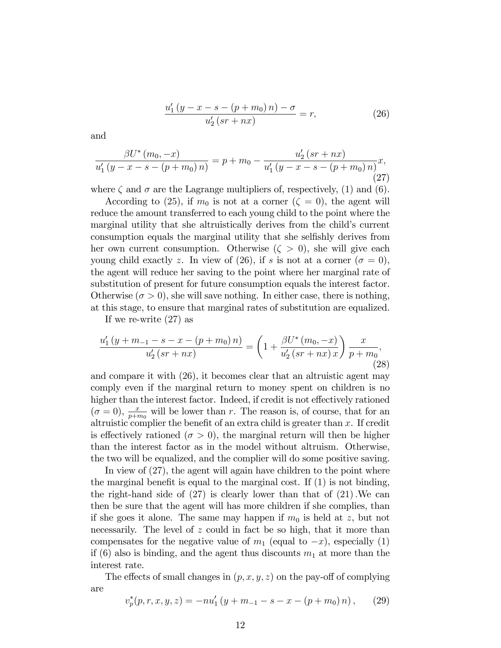$$
\frac{u_1'(y - x - s - (p + m_0) n) - \sigma}{u_2'(s + nx)} = r,\tag{26}
$$

and

$$
\frac{\beta U^* (m_0, -x)}{u'_1 (y - x - s - (p + m_0) n)} = p + m_0 - \frac{u'_2 (sr + nx)}{u'_1 (y - x - s - (p + m_0) n)} x,
$$
\n(27)

where  $\zeta$  and  $\sigma$  are the Lagrange multipliers of, respectively, (1) and (6).

According to (25), if  $m_0$  is not at a corner ( $\zeta = 0$ ), the agent will reduce the amount transferred to each young child to the point where the marginal utility that she altruistically derives from the child's current consumption equals the marginal utility that she selfishly derives from her own current consumption. Otherwise  $(\zeta > 0)$ , she will give each young child exactly z. In view of (26), if s is not at a corner  $(\sigma = 0)$ , the agent will reduce her saving to the point where her marginal rate of substitution of present for future consumption equals the interest factor. Otherwise  $(\sigma > 0)$ , she will save nothing. In either case, there is nothing, at this stage, to ensure that marginal rates of substitution are equalized.

If we re-write (27) as

$$
\frac{u'_1(y+m_{-1}-s-x-(p+m_0)n)}{u'_2(sr+nx)} = \left(1+\frac{\beta U^*(m_0,-x)}{u'_2(sr+nx)x}\right)\frac{x}{p+m_0},\tag{28}
$$

and compare it with (26), it becomes clear that an altruistic agent may comply even if the marginal return to money spent on children is no higher than the interest factor. Indeed, if credit is not effectively rationed  $(\sigma = 0)$ ,  $\frac{x}{p+m_0}$  will be lower than r. The reason is, of course, that for an altruistic complier the benefit of an extra child is greater than  $x$ . If credit is effectively rationed ( $\sigma > 0$ ), the marginal return will then be higher than the interest factor as in the model without altruism. Otherwise, the two will be equalized, and the complier will do some positive saving.

In view of  $(27)$ , the agent will again have children to the point where the marginal benefit is equal to the marginal cost. If  $(1)$  is not binding, the right-hand side of  $(27)$  is clearly lower than that of  $(21)$ . We can then be sure that the agent will has more children if she complies, than if she goes it alone. The same may happen if  $m_0$  is held at z, but not necessarily. The level of z could in fact be so high, that it more than compensates for the negative value of  $m_1$  (equal to  $-x$ ), especially (1) if (6) also is binding, and the agent thus discounts  $m_1$  at more than the interest rate.

The effects of small changes in  $(p, x, y, z)$  on the pay-off of complying are

$$
v_p^*(p,r,x,y,z) = -nu_1'(y+m_{-1}-s-x-(p+m_0)n), \qquad (29)
$$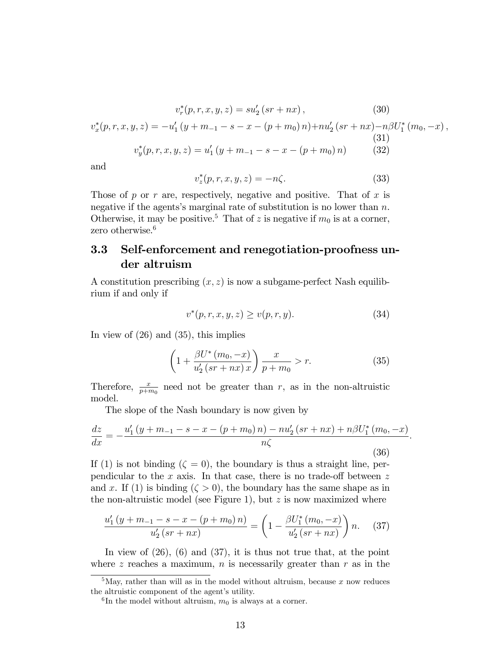$$
v_r^*(p, r, x, y, z) = su'_2(sr + nx), \qquad (30)
$$
  

$$
v_x^*(p, r, x, y, z) = -u'_1(y + m_{-1} - s - x - (p + m_0) n) + nu'_2(sr + nx) - n\beta U_1^*(m_0, -x),
$$
  

$$
v_y^*(p, r, x, y, z) = u'_1(y + m_{-1} - s - x - (p + m_0) n) \qquad (32)
$$

and

$$
v_z^*(p, r, x, y, z) = -n\zeta.
$$
 (33)

Those of p or r are, respectively, negative and positive. That of x is negative if the agents's marginal rate of substitution is no lower than  $n$ . Otherwise, it may be positive.<sup>5</sup> That of z is negative if  $m_0$  is at a corner, zero otherwise.<sup>6</sup>

## 3.3 Self-enforcement and renegotiation-proofness under altruism

A constitution prescribing  $(x, z)$  is now a subgame-perfect Nash equilibrium if and only if

$$
v^*(p,r,x,y,z) \ge v(p,r,y). \tag{34}
$$

In view of (26) and (35), this implies

$$
\left(1 + \frac{\beta U^*(m_0, -x)}{u_2'(sr + nx)x}\right)\frac{x}{p + m_0} > r.
$$
 (35)

Therefore,  $\frac{x}{p+m_0}$  need not be greater than r, as in the non-altruistic model.

The slope of the Nash boundary is now given by

$$
\frac{dz}{dx} = -\frac{u_1'(y + m_{-1} - s - x - (p + m_0) n) - n u_2'(s r + n x) + n \beta U_1^*(m_0, -x)}{n \zeta}.
$$
\n(36)

If (1) is not binding  $(\zeta = 0)$ , the boundary is thus a straight line, perpendicular to the x axis. In that case, there is no trade-off between  $z$ and x. If (1) is binding  $(\zeta > 0)$ , the boundary has the same shape as in the non-altruistic model (see Figure 1), but  $z$  is now maximized where

$$
\frac{u'_1(y+m_{-1}-s-x-(p+m_0)n)}{u'_2(sr+nx)} = \left(1 - \frac{\beta U_1^*(m_0, -x)}{u'_2(sr+nx)}\right)n. \tag{37}
$$

In view of  $(26)$ ,  $(6)$  and  $(37)$ , it is thus not true that, at the point where z reaches a maximum, n is necessarily greater than  $r$  as in the

 $5$ May, rather than will as in the model without altruism, because x now reduces the altruistic component of the agent's utility.

 ${}^{6}$ In the model without altruism,  $m_0$  is always at a corner.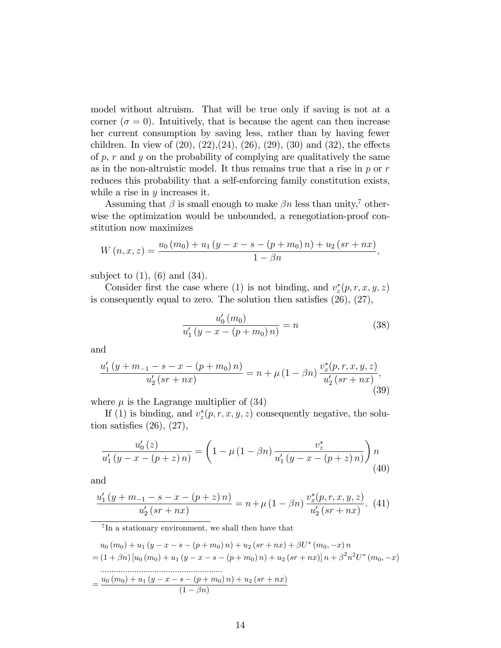model without altruism. That will be true only if saving is not at a corner ( $\sigma = 0$ ). Intuitively, that is because the agent can then increase her current consumption by saving less, rather than by having fewer children. In view of  $(20)$ ,  $(22)$ ,  $(24)$ ,  $(26)$ ,  $(29)$ ,  $(30)$  and  $(32)$ , the effects of  $p, r$  and  $y$  on the probability of complying are qualitatively the same as in the non-altruistic model. It thus remains true that a rise in  $p$  or  $r$ reduces this probability that a self-enforcing family constitution exists, while a rise in  $y$  increases it.

Assuming that  $\beta$  is small enough to make  $\beta n$  less than unity,<sup>7</sup> otherwise the optimization would be unbounded, a renegotiation-proof constitution now maximizes

$$
W(n, x, z) = \frac{u_0(m_0) + u_1(y - x - s - (p + m_0) n) + u_2(sr + nx)}{1 - \beta n},
$$

subject to  $(1)$ ,  $(6)$  and  $(34)$ .

Consider first the case where (1) is not binding, and  $v_z^*(p, r, x, y, z)$ is consequently equal to zero. The solution then satisfies  $(26)$ ,  $(27)$ ,

$$
\frac{u_0'(m_0)}{u_1'(y - x - (p + m_0) n)} = n \tag{38}
$$

and

$$
\frac{u_1'(y+m_{-1}-s-x-(p+m_0)n)}{u_2'(sr+nx)} = n + \mu (1-\beta n) \frac{v_x^*(p,r,x,y,z)}{u_2'(sr+nx)},
$$
\n(39)

where  $\mu$  is the Lagrange multiplier of (34)

If (1) is binding, and  $v_z^*(p, r, x, y, z)$  consequently negative, the solution satisfies  $(26)$ ,  $(27)$ ,

$$
\frac{u_0'(z)}{u_1'(y-x-(p+z) n)} = \left(1 - \mu(1-\beta n) \frac{v_z^*}{u_1'(y-x-(p+z) n)}\right) n
$$
\n(40)

and

$$
\frac{u'_1(y+m_{-1}-s-x-(p+z) n)}{u'_2(sr+nx)} = n + \mu (1 - \beta n) \frac{v_x^*(p,r,x,y,z)}{u'_2(sr+nx)}.
$$
 (41)

7 In a stationary environment, we shall then have that

$$
u_0 (m_0) + u_1 (y - x - s - (p + m_0) n) + u_2 (sr + nx) + \beta U^* (m_0, -x) n
$$
  
= (1 +  $\beta n$ ) [u<sub>0</sub> (m<sub>0</sub>) + u<sub>1</sub> (y - x - s - (p + m<sub>0</sub>) n) + u<sub>2</sub> (sr + nx)] n +  $\beta^2 n^2 U^* (m_0, -x)$   
........  
=  $\frac{u_0 (m_0) + u_1 (y - x - s - (p + m_0) n) + u_2 (sr + nx)}{(1 - \beta n)}$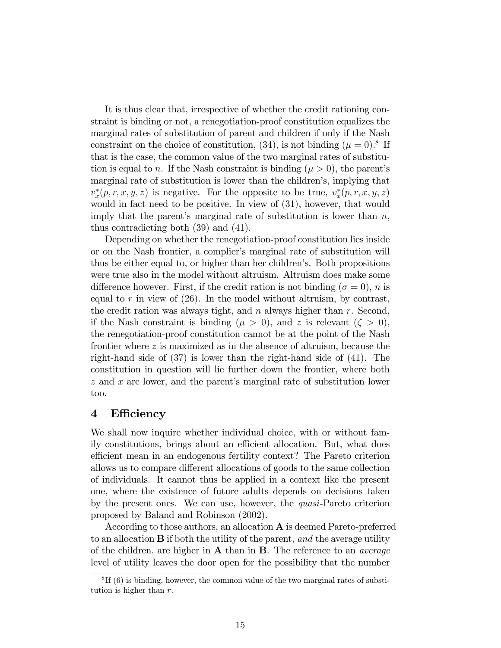It is thus clear that, irrespective of whether the credit rationing constraint is binding or not, a renegotiation-proof constitution equalizes the marginal rates of substitution of parent and children if only if the Nash constraint on the choice of constitution, (34), is not binding ( $\mu = 0$ ).<sup>8</sup> If that is the case, the common value of the two marginal rates of substitution is equal to n. If the Nash constraint is binding  $(\mu > 0)$ , the parent's marginal rate of substitution is lower than the children's, implying that  $v_x^*(p,r,x,y,z)$  is negative. For the opposite to be true,  $v_x^*(p,r,x,y,z)$ would in fact need to be positive. In view of (31), however, that would imply that the parent's marginal rate of substitution is lower than  $n$ , thus contradicting both (39) and (41).

Depending on whether the renegotiation-proof constitution lies inside or on the Nash frontier, a complier's marginal rate of substitution will thus be either equal to, or higher than her childrenís. Both propositions were true also in the model without altruism. Altruism does make some difference however. First, if the credit ration is not binding ( $\sigma = 0$ ), n is equal to r in view of  $(26)$ . In the model without altruism, by contrast, the credit ration was always tight, and  $n$  always higher than  $r$ . Second, if the Nash constraint is binding  $(\mu > 0)$ , and z is relevant  $(\zeta > 0)$ , the renegotiation-proof constitution cannot be at the point of the Nash frontier where z is maximized as in the absence of altruism, because the right-hand side of (37) is lower than the right-hand side of (41). The constitution in question will lie further down the frontier, where both  $z$  and  $x$  are lower, and the parent's marginal rate of substitution lower too.

#### 4 Efficiency

We shall now inquire whether individual choice, with or without family constitutions, brings about an efficient allocation. But, what does efficient mean in an endogenous fertility context? The Pareto criterion allows us to compare different allocations of goods to the same collection of individuals. It cannot thus be applied in a context like the present one, where the existence of future adults depends on decisions taken by the present ones. We can use, however, the quasi-Pareto criterion proposed by Baland and Robinson (2002).

According to those authors, an allocation A is deemed Pareto-preferred to an allocation B if both the utility of the parent, and the average utility of the children, are higher in  $A$  than in  $B$ . The reference to an *average* level of utility leaves the door open for the possibility that the number

<sup>&</sup>lt;sup>8</sup>If (6) is binding, however, the common value of the two marginal rates of substitution is higher than  $r$ .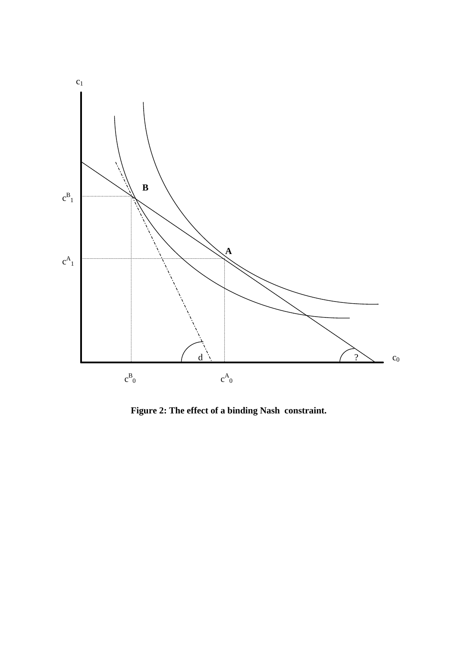

**Figure 2: The effect of a binding Nash constraint.**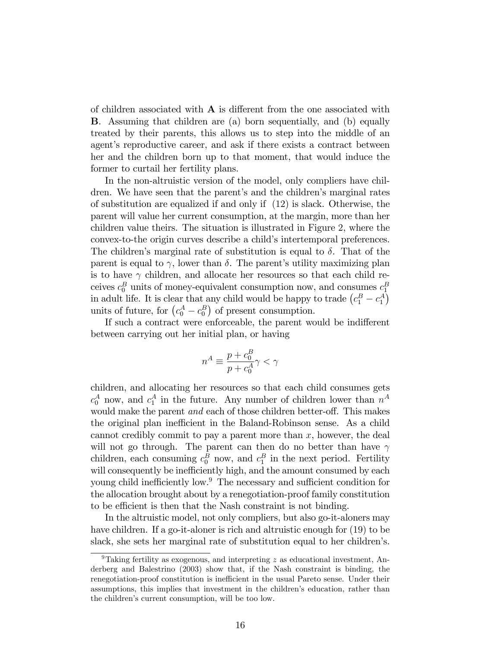of children associated with  $\bf{A}$  is different from the one associated with B. Assuming that children are (a) born sequentially, and (b) equally treated by their parents, this allows us to step into the middle of an agent's reproductive career, and ask if there exists a contract between her and the children born up to that moment, that would induce the former to curtail her fertility plans.

In the non-altruistic version of the model, only compliers have children. We have seen that the parent's and the children's marginal rates of substitution are equalized if and only if (12) is slack. Otherwise, the parent will value her current consumption, at the margin, more than her children value theirs. The situation is illustrated in Figure 2, where the convex-to-the origin curves describe a child's intertemporal preferences. The children's marginal rate of substitution is equal to  $\delta$ . That of the parent is equal to  $\gamma$ , lower than  $\delta$ . The parent's utility maximizing plan is to have  $\gamma$  children, and allocate her resources so that each child receives  $c_0^B$  units of money-equivalent consumption now, and consumes  $c_1^B$ in adult life. It is clear that any child would be happy to trade  $(c_1^B - c_1^A)$ units of future, for  $(c_0^A - c_0^B)$  of present consumption.

If such a contract were enforceable, the parent would be indifferent between carrying out her initial plan, or having

$$
n^A \equiv \frac{p+c_0^B}{p+c_0^A}\gamma < \gamma
$$

children, and allocating her resources so that each child consumes gets  $c_0^A$  now, and  $c_1^A$  in the future. Any number of children lower than  $n^A$ would make the parent *and* each of those children better-off. This makes the original plan inefficient in the Baland-Robinson sense. As a child cannot credibly commit to pay a parent more than  $x$ , however, the deal will not go through. The parent can then do no better than have  $\gamma$ children, each consuming  $c_0^B$  now, and  $c_1^B$  in the next period. Fertility will consequently be inefficiently high, and the amount consumed by each young child inefficiently low. $9$  The necessary and sufficient condition for the allocation brought about by a renegotiation-proof family constitution to be efficient is then that the Nash constraint is not binding.

In the altruistic model, not only compliers, but also go-it-aloners may have children. If a go-it-aloner is rich and altruistic enough for  $(19)$  to be slack, she sets her marginal rate of substitution equal to her children's.

<sup>&</sup>lt;sup>9</sup>Taking fertility as exogenous, and interpreting  $z$  as educational investment, Anderberg and Balestrino (2003) show that, if the Nash constraint is binding, the renegotiation-proof constitution is inefficient in the usual Pareto sense. Under their assumptions, this implies that investment in the children's education, rather than the children's current consumption, will be too low.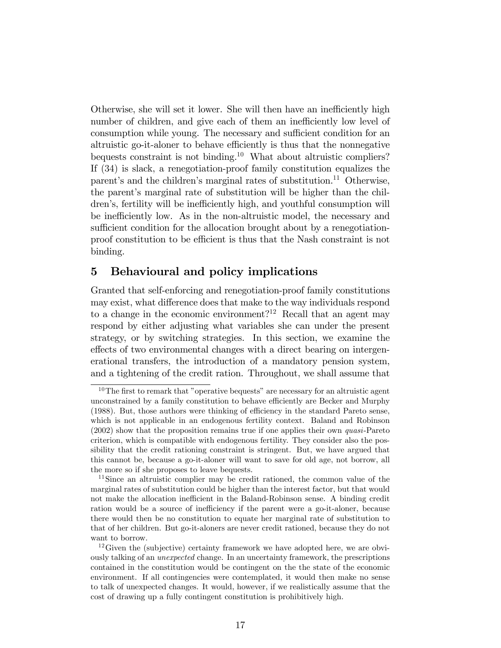Otherwise, she will set it lower. She will then have an inefficiently high number of children, and give each of them an inefficiently low level of consumption while young. The necessary and sufficient condition for an altruistic go-it-aloner to behave efficiently is thus that the nonnegative bequests constraint is not binding.<sup>10</sup> What about altruistic compliers? If (34) is slack, a renegotiation-proof family constitution equalizes the parent's and the children's marginal rates of substitution.<sup>11</sup> Otherwise, the parent's marginal rate of substitution will be higher than the children's, fertility will be inefficiently high, and youthful consumption will be inefficiently low. As in the non-altruistic model, the necessary and sufficient condition for the allocation brought about by a renegotiationproof constitution to be efficient is thus that the Nash constraint is not binding.

## 5 Behavioural and policy implications

Granted that self-enforcing and renegotiation-proof family constitutions may exist, what difference does that make to the way individuals respond to a change in the economic environment?<sup>12</sup> Recall that an agent may respond by either adjusting what variables she can under the present strategy, or by switching strategies. In this section, we examine the effects of two environmental changes with a direct bearing on intergenerational transfers, the introduction of a mandatory pension system, and a tightening of the credit ration. Throughout, we shall assume that

 $10$ The first to remark that "operative bequests" are necessary for an altruistic agent unconstrained by a family constitution to behave efficiently are Becker and Murphy (1988). But, those authors were thinking of efficiency in the standard Pareto sense, which is not applicable in an endogenous fertility context. Baland and Robinson (2002) show that the proposition remains true if one applies their own quasi-Pareto criterion, which is compatible with endogenous fertility. They consider also the possibility that the credit rationing constraint is stringent. But, we have argued that this cannot be, because a go-it-aloner will want to save for old age, not borrow, all the more so if she proposes to leave bequests.

<sup>&</sup>lt;sup>11</sup>Since an altruistic complier may be credit rationed, the common value of the marginal rates of substitution could be higher than the interest factor, but that would not make the allocation inefficient in the Baland-Robinson sense. A binding credit ration would be a source of inefficiency if the parent were a go-it-aloner, because there would then be no constitution to equate her marginal rate of substitution to that of her children. But go-it-aloners are never credit rationed, because they do not want to borrow.

 $12$  Given the (subjective) certainty framework we have adopted here, we are obviously talking of an unexpected change. In an uncertainty framework, the prescriptions contained in the constitution would be contingent on the the state of the economic environment. If all contingencies were contemplated, it would then make no sense to talk of unexpected changes. It would, however, if we realistically assume that the cost of drawing up a fully contingent constitution is prohibitively high.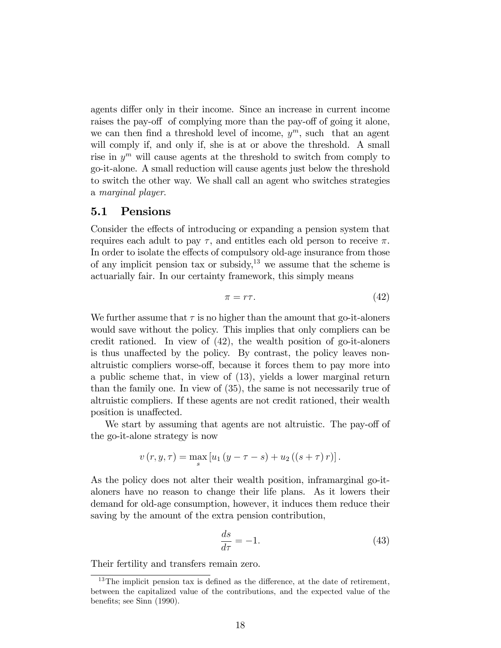agents differ only in their income. Since an increase in current income raises the pay-off of complying more than the pay-off of going it alone, we can then find a threshold level of income,  $y^m$ , such that an agent will comply if, and only if, she is at or above the threshold. A small rise in  $y^m$  will cause agents at the threshold to switch from comply to go-it-alone. A small reduction will cause agents just below the threshold to switch the other way. We shall call an agent who switches strategies a marginal player.

#### 5.1 Pensions

Consider the effects of introducing or expanding a pension system that requires each adult to pay  $\tau$ , and entitles each old person to receive  $\pi$ . In order to isolate the effects of compulsory old-age insurance from those of any implicit pension tax or subsidy, $13$  we assume that the scheme is actuarially fair. In our certainty framework, this simply means

$$
\pi = r\tau. \tag{42}
$$

We further assume that  $\tau$  is no higher than the amount that go-it-aloners would save without the policy. This implies that only compliers can be credit rationed. In view of (42), the wealth position of go-it-aloners is thus unaffected by the policy. By contrast, the policy leaves nonaltruistic compliers worse-off, because it forces them to pay more into a public scheme that, in view of (13), yields a lower marginal return than the family one. In view of (35), the same is not necessarily true of altruistic compliers. If these agents are not credit rationed, their wealth position is unaffected.

We start by assuming that agents are not altruistic. The pay-off of the go-it-alone strategy is now

$$
v(r, y, \tau) = \max_{s} [u_1 (y - \tau - s) + u_2 ((s + \tau) r)].
$$

As the policy does not alter their wealth position, inframarginal go-italoners have no reason to change their life plans. As it lowers their demand for old-age consumption, however, it induces them reduce their saving by the amount of the extra pension contribution,

$$
\frac{ds}{d\tau} = -1.\tag{43}
$$

Their fertility and transfers remain zero.

 $13$ The implicit pension tax is defined as the difference, at the date of retirement, between the capitalized value of the contributions, and the expected value of the benefits; see Sinn (1990).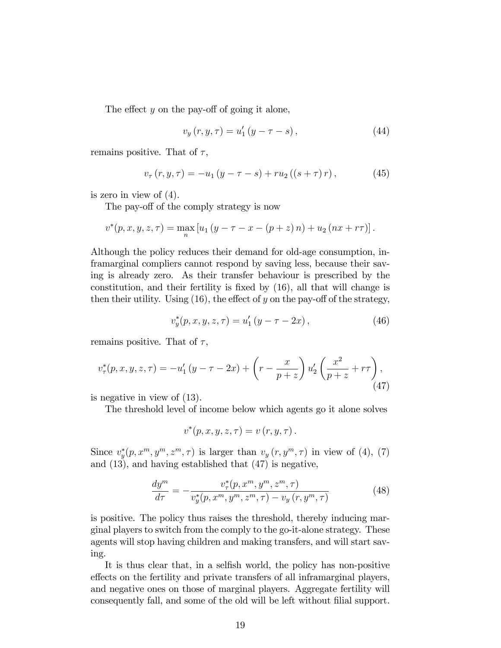The effect y on the pay-off of going it alone,

$$
v_y(r, y, \tau) = u'_1(y - \tau - s), \tag{44}
$$

remains positive. That of  $\tau$ ,

$$
v_{\tau}(r, y, \tau) = -u_1 (y - \tau - s) + ru_2 ((s + \tau) r), \qquad (45)
$$

is zero in view of (4).

The pay-off of the comply strategy is now

$$
v^{*}(p, x, y, z, \tau) = \max_{n} [u_1 (y - \tau - x - (p + z) n) + u_2 (nx + r\tau)].
$$

Although the policy reduces their demand for old-age consumption, inframarginal compliers cannot respond by saving less, because their saving is already zero. As their transfer behaviour is prescribed by the constitution, and their fertility is fixed by  $(16)$ , all that will change is then their utility. Using  $(16)$ , the effect of y on the pay-off of the strategy,

$$
v_y^*(p, x, y, z, \tau) = u'_1 \left( y - \tau - 2x \right), \tag{46}
$$

remains positive. That of  $\tau$ ,

$$
v_{\tau}^*(p, x, y, z, \tau) = -u'_1(y - \tau - 2x) + \left(r - \frac{x}{p + z}\right)u'_2\left(\frac{x^2}{p + z} + r\tau\right),\tag{47}
$$

is negative in view of (13).

The threshold level of income below which agents go it alone solves

$$
v^*(p, x, y, z, \tau) = v(r, y, \tau).
$$

Since  $v_y^*(p, x^m, y^m, z^m, \tau)$  is larger than  $v_y(r, y^m, \tau)$  in view of (4), (7) and (13), and having established that (47) is negative,

$$
\frac{dy^m}{d\tau} = -\frac{v_{\tau}^*(p, x^m, y^m, z^m, \tau)}{v_y^*(p, x^m, y^m, z^m, \tau) - v_y(r, y^m, \tau)}\tag{48}
$$

is positive. The policy thus raises the threshold, thereby inducing marginal players to switch from the comply to the go-it-alone strategy. These agents will stop having children and making transfers, and will start saving.

It is thus clear that, in a selfish world, the policy has non-positive effects on the fertility and private transfers of all inframarginal players, and negative ones on those of marginal players. Aggregate fertility will consequently fall, and some of the old will be left without filial support.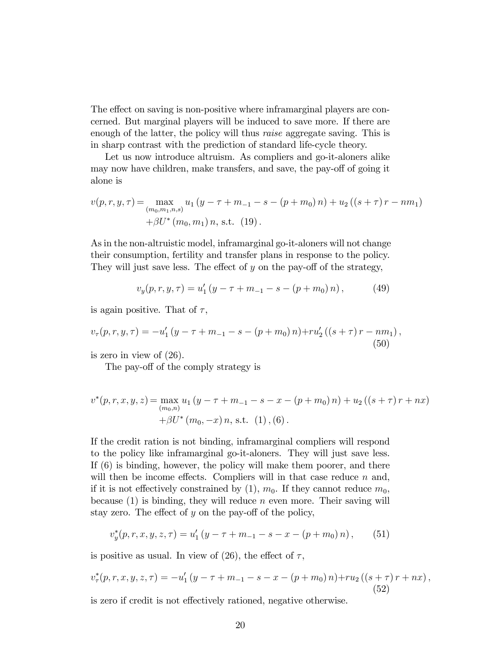The effect on saving is non-positive where inframarginal players are concerned. But marginal players will be induced to save more. If there are enough of the latter, the policy will thus *raise* aggregate saving. This is in sharp contrast with the prediction of standard life-cycle theory.

Let us now introduce altruism. As compliers and go-it-aloners alike may now have children, make transfers, and save, the pay-off of going it alone is

$$
v(p,r,y,\tau) = \max_{(m_0,m_1,n,s)} u_1 (y - \tau + m_{-1} - s - (p + m_0) n) + u_2 ((s + \tau) r - nm_1)
$$
  
 
$$
+ \beta U^* (m_0, m_1) n, \text{ s.t. } (19).
$$

As in the non-altruistic model, inframarginal go-it-aloners will not change their consumption, fertility and transfer plans in response to the policy. They will just save less. The effect of  $y$  on the pay-off of the strategy,

$$
v_y(p,r,y,\tau) = u'_1(y-\tau+m_{-1}-s-(p+m_0)n), \qquad (49)
$$

is again positive. That of  $\tau$ ,

$$
v_{\tau}(p,r,y,\tau) = -u'_1(y-\tau+m_{-1}-s-(p+m_0)n)+ru'_2((s+\tau)r-nm_1),
$$
\n(50)

is zero in view of (26).

The pay-off of the comply strategy is

$$
v^{*}(p, r, x, y, z) = \max_{(m_{0}, n)} u_{1}(y - \tau + m_{-1} - s - x - (p + m_{0}) n) + u_{2}((s + \tau) r + nx)
$$
  
+  $\beta U^{*}(m_{0}, -x) n$ , s.t. (1), (6).

If the credit ration is not binding, inframarginal compliers will respond to the policy like inframarginal go-it-aloners. They will just save less. If (6) is binding, however, the policy will make them poorer, and there will then be income effects. Compliers will in that case reduce  $n$  and, if it is not effectively constrained by (1),  $m_0$ . If they cannot reduce  $m_0$ , because  $(1)$  is binding, they will reduce n even more. Their saving will stay zero. The effect of  $y$  on the pay-off of the policy,

$$
v_y^*(p,r,x,y,z,\tau) = u'_1(y-\tau+m_{-1}-s-x-(p+m_0)n), \qquad (51)
$$

is positive as usual. In view of (26), the effect of  $\tau$ ,

$$
v_{\tau}^{*}(p,r,x,y,z,\tau) = -u_{1}'(y-\tau+m_{-1}-s-x-(p+m_{0})n)+ru_{2}((s+\tau)r+nx),
$$
\n(52)

is zero if credit is not effectively rationed, negative otherwise.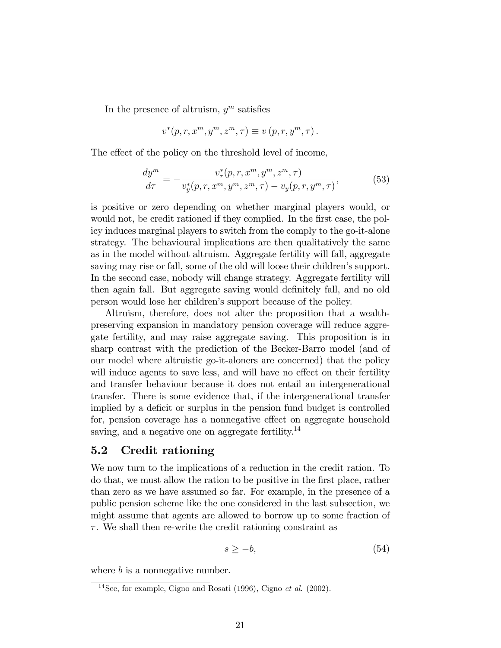In the presence of altruism,  $y^m$  satisfies

$$
v^*(p,r,x^m,y^m,z^m,\tau) \equiv v(p,r,y^m,\tau).
$$

The effect of the policy on the threshold level of income,

$$
\frac{dy^m}{d\tau} = -\frac{v^*_{\tau}(p, r, x^m, y^m, z^m, \tau)}{v^*_{y}(p, r, x^m, y^m, z^m, \tau) - v_y(p, r, y^m, \tau)},
$$
(53)

is positive or zero depending on whether marginal players would, or would not, be credit rationed if they complied. In the first case, the policy induces marginal players to switch from the comply to the go-it-alone strategy. The behavioural implications are then qualitatively the same as in the model without altruism. Aggregate fertility will fall, aggregate saving may rise or fall, some of the old will loose their children's support. In the second case, nobody will change strategy. Aggregate fertility will then again fall. But aggregate saving would definitely fall, and no old person would lose her children's support because of the policy.

Altruism, therefore, does not alter the proposition that a wealthpreserving expansion in mandatory pension coverage will reduce aggregate fertility, and may raise aggregate saving. This proposition is in sharp contrast with the prediction of the Becker-Barro model (and of our model where altruistic go-it-aloners are concerned) that the policy will induce agents to save less, and will have no effect on their fertility and transfer behaviour because it does not entail an intergenerational transfer. There is some evidence that, if the intergenerational transfer implied by a deficit or surplus in the pension fund budget is controlled for, pension coverage has a nonnegative effect on aggregate household saving, and a negative one on aggregate fertility.<sup>14</sup>

#### 5.2 Credit rationing

We now turn to the implications of a reduction in the credit ration. To do that, we must allow the ration to be positive in the Örst place, rather than zero as we have assumed so far. For example, in the presence of a public pension scheme like the one considered in the last subsection, we might assume that agents are allowed to borrow up to some fraction of  $\tau$ . We shall then re-write the credit rationing constraint as

$$
s \ge -b,\tag{54}
$$

where  $b$  is a nonnegative number.

<sup>&</sup>lt;sup>14</sup>See, for example, Cigno and Rosati (1996), Cigno *et al.* (2002).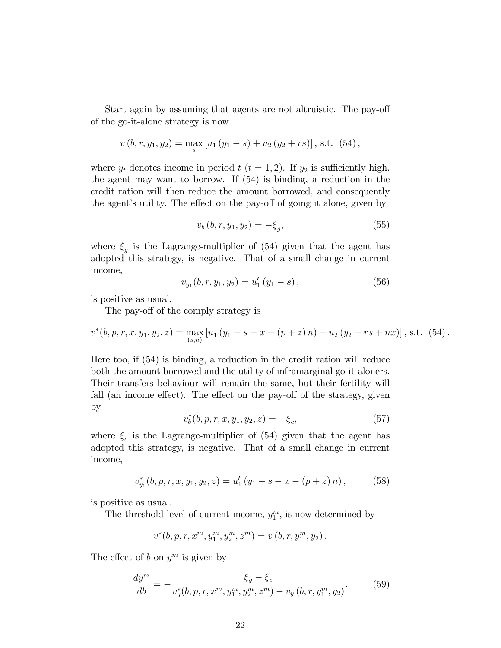Start again by assuming that agents are not altruistic. The pay-off of the go-it-alone strategy is now

$$
v(t, r, y_1, y_2) = \max_s [u_1 (y_1 - s) + u_2 (y_2 + rs)],
$$
 s.t. (54),

where  $y_t$  denotes income in period  $t$   $(t = 1, 2)$ . If  $y_2$  is sufficiently high, the agent may want to borrow. If (54) is binding, a reduction in the credit ration will then reduce the amount borrowed, and consequently the agent's utility. The effect on the pay-off of going it alone, given by

$$
v_b(b, r, y_1, y_2) = -\xi_g,\tag{55}
$$

where  $\xi_g$  is the Lagrange-multiplier of (54) given that the agent has adopted this strategy, is negative. That of a small change in current income,

$$
v_{y_1}(b, r, y_1, y_2) = u'_1(y_1 - s), \qquad (56)
$$

is positive as usual.

The pay-off of the comply strategy is

$$
v^*(b, p, r, x, y_1, y_2, z) = \max_{(s,n)} [u_1(y_1 - s - x - (p + z) n) + u_2(y_2 + rs + nx)], \text{ s.t. } (54).
$$

Here too, if (54) is binding, a reduction in the credit ration will reduce both the amount borrowed and the utility of inframarginal go-it-aloners. Their transfers behaviour will remain the same, but their fertility will fall (an income effect). The effect on the pay-off of the strategy, given by

$$
v_b^*(b, p, r, x, y_1, y_2, z) = -\xi_c,\tag{57}
$$

where  $\xi_c$  is the Lagrange-multiplier of (54) given that the agent has adopted this strategy, is negative. That of a small change in current income,

$$
v_{y_1}^*(b, p, r, x, y_1, y_2, z) = u'_1 (y_1 - s - x - (p + z) n), \qquad (58)
$$

is positive as usual.

The threshold level of current income,  $y_1^m$ , is now determined by

$$
v^*(b, p, r, x^m, y_1^m, y_2^m, z^m) = v(b, r, y_1^m, y_2).
$$

The effect of b on  $y^m$  is given by

$$
\frac{dy^m}{db} = -\frac{\xi_g - \xi_c}{v_y^*(b, p, r, x^m, y_1^m, y_2^m, z^m) - v_y(b, r, y_1^m, y_2)}.
$$
(59)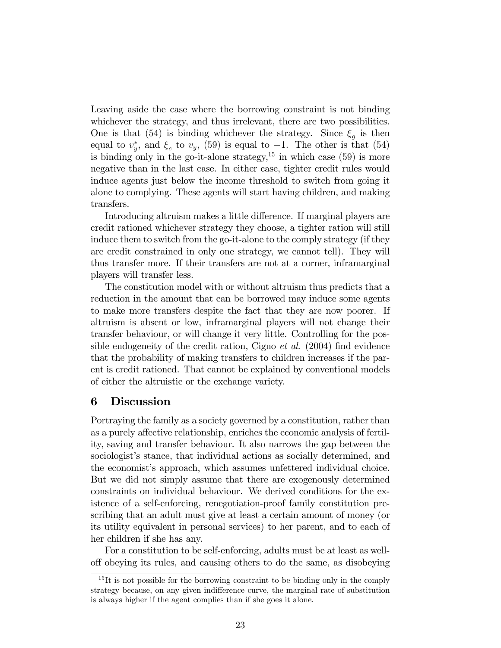Leaving aside the case where the borrowing constraint is not binding whichever the strategy, and thus irrelevant, there are two possibilities. One is that (54) is binding whichever the strategy. Since  $\xi_g$  is then equal to  $v_y^*$ , and  $\xi_c$  to  $v_y$ , (59) is equal to  $-1$ . The other is that (54) is binding only in the go-it-alone strategy,  $15$  in which case (59) is more negative than in the last case. In either case, tighter credit rules would induce agents just below the income threshold to switch from going it alone to complying. These agents will start having children, and making transfers.

Introducing altruism makes a little difference. If marginal players are credit rationed whichever strategy they choose, a tighter ration will still induce them to switch from the go-it-alone to the comply strategy (if they are credit constrained in only one strategy, we cannot tell). They will thus transfer more. If their transfers are not at a corner, inframarginal players will transfer less.

The constitution model with or without altruism thus predicts that a reduction in the amount that can be borrowed may induce some agents to make more transfers despite the fact that they are now poorer. If altruism is absent or low, inframarginal players will not change their transfer behaviour, or will change it very little. Controlling for the possible endogeneity of the credit ration, Cigno  $et \ al.$  (2004) find evidence that the probability of making transfers to children increases if the parent is credit rationed. That cannot be explained by conventional models of either the altruistic or the exchange variety.

#### 6 Discussion

Portraying the family as a society governed by a constitution, rather than as a purely affective relationship, enriches the economic analysis of fertility, saving and transfer behaviour. It also narrows the gap between the sociologist's stance, that individual actions as socially determined, and the economist's approach, which assumes unfettered individual choice. But we did not simply assume that there are exogenously determined constraints on individual behaviour. We derived conditions for the existence of a self-enforcing, renegotiation-proof family constitution prescribing that an adult must give at least a certain amount of money (or its utility equivalent in personal services) to her parent, and to each of her children if she has any.

For a constitution to be self-enforcing, adults must be at least as welloff obeying its rules, and causing others to do the same, as disobeying

 $15$ It is not possible for the borrowing constraint to be binding only in the comply strategy because, on any given indifference curve, the marginal rate of substitution is always higher if the agent complies than if she goes it alone.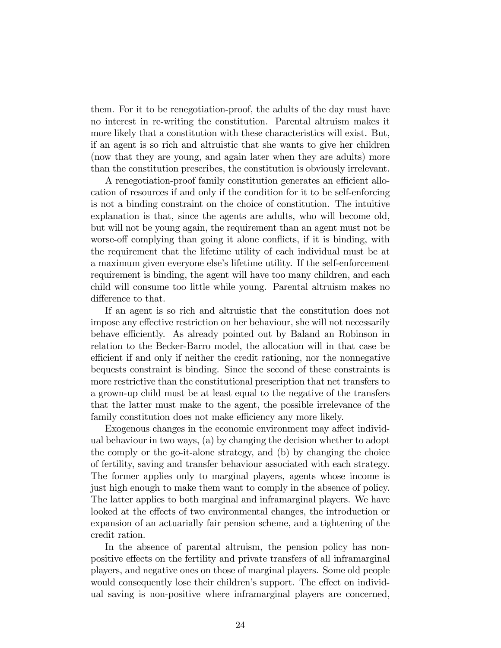them. For it to be renegotiation-proof, the adults of the day must have no interest in re-writing the constitution. Parental altruism makes it more likely that a constitution with these characteristics will exist. But, if an agent is so rich and altruistic that she wants to give her children (now that they are young, and again later when they are adults) more than the constitution prescribes, the constitution is obviously irrelevant.

A renegotiation-proof family constitution generates an efficient allocation of resources if and only if the condition for it to be self-enforcing is not a binding constraint on the choice of constitution. The intuitive explanation is that, since the agents are adults, who will become old, but will not be young again, the requirement than an agent must not be worse-off complying than going it alone conflicts, if it is binding, with the requirement that the lifetime utility of each individual must be at a maximum given everyone else's lifetime utility. If the self-enforcement requirement is binding, the agent will have too many children, and each child will consume too little while young. Parental altruism makes no difference to that.

If an agent is so rich and altruistic that the constitution does not impose any effective restriction on her behaviour, she will not necessarily behave efficiently. As already pointed out by Baland an Robinson in relation to the Becker-Barro model, the allocation will in that case be efficient if and only if neither the credit rationing, nor the nonnegative bequests constraint is binding. Since the second of these constraints is more restrictive than the constitutional prescription that net transfers to a grown-up child must be at least equal to the negative of the transfers that the latter must make to the agent, the possible irrelevance of the family constitution does not make efficiency any more likely.

Exogenous changes in the economic environment may affect individual behaviour in two ways, (a) by changing the decision whether to adopt the comply or the go-it-alone strategy, and (b) by changing the choice of fertility, saving and transfer behaviour associated with each strategy. The former applies only to marginal players, agents whose income is just high enough to make them want to comply in the absence of policy. The latter applies to both marginal and inframarginal players. We have looked at the effects of two environmental changes, the introduction or expansion of an actuarially fair pension scheme, and a tightening of the credit ration.

In the absence of parental altruism, the pension policy has nonpositive effects on the fertility and private transfers of all inframarginal players, and negative ones on those of marginal players. Some old people would consequently lose their children's support. The effect on individual saving is non-positive where inframarginal players are concerned,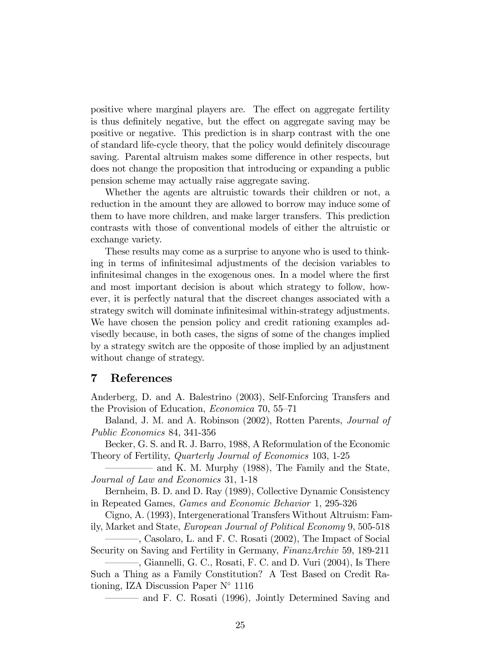positive where marginal players are. The effect on aggregate fertility is thus definitely negative, but the effect on aggregate saving may be positive or negative. This prediction is in sharp contrast with the one of standard life-cycle theory, that the policy would definitely discourage saving. Parental altruism makes some difference in other respects, but does not change the proposition that introducing or expanding a public pension scheme may actually raise aggregate saving.

Whether the agents are altruistic towards their children or not, a reduction in the amount they are allowed to borrow may induce some of them to have more children, and make larger transfers. This prediction contrasts with those of conventional models of either the altruistic or exchange variety.

These results may come as a surprise to anyone who is used to thinking in terms of infinitesimal adjustments of the decision variables to infinitesimal changes in the exogenous ones. In a model where the first and most important decision is about which strategy to follow, however, it is perfectly natural that the discreet changes associated with a strategy switch will dominate infinitesimal within-strategy adjustments. We have chosen the pension policy and credit rationing examples advisedly because, in both cases, the signs of some of the changes implied by a strategy switch are the opposite of those implied by an adjustment without change of strategy.

#### 7 References

Anderberg, D. and A. Balestrino (2003), Self-Enforcing Transfers and the Provision of Education, *Economica* 70,  $55-71$ 

Baland, J. M. and A. Robinson (2002), Rotten Parents, Journal of Public Economics 84, 341-356

Becker, G. S. and R. J. Barro, 1988, A Reformulation of the Economic Theory of Fertility, Quarterly Journal of Economics 103, 1-25

and K. M. Murphy (1988), The Family and the State, Journal of Law and Economics 31, 1-18

Bernheim, B. D. and D. Ray (1989), Collective Dynamic Consistency in Repeated Games, Games and Economic Behavior 1, 295-326

Cigno, A. (1993), Intergenerational Transfers Without Altruism: Family, Market and State, European Journal of Political Economy 9, 505-518

<sup>-</sup>, Casolaro, L. and F. C. Rosati (2002), The Impact of Social

Security on Saving and Fertility in Germany, FinanzArchiv 59, 189-211 <sup>-</sup>, Giannelli, G. C., Rosati, F. C. and D. Vuri (2004), Is There

Such a Thing as a Family Constitution? A Test Based on Credit Rationing, IZA Discussion Paper  $N^{\circ}$  1116

and F. C. Rosati (1996), Jointly Determined Saving and